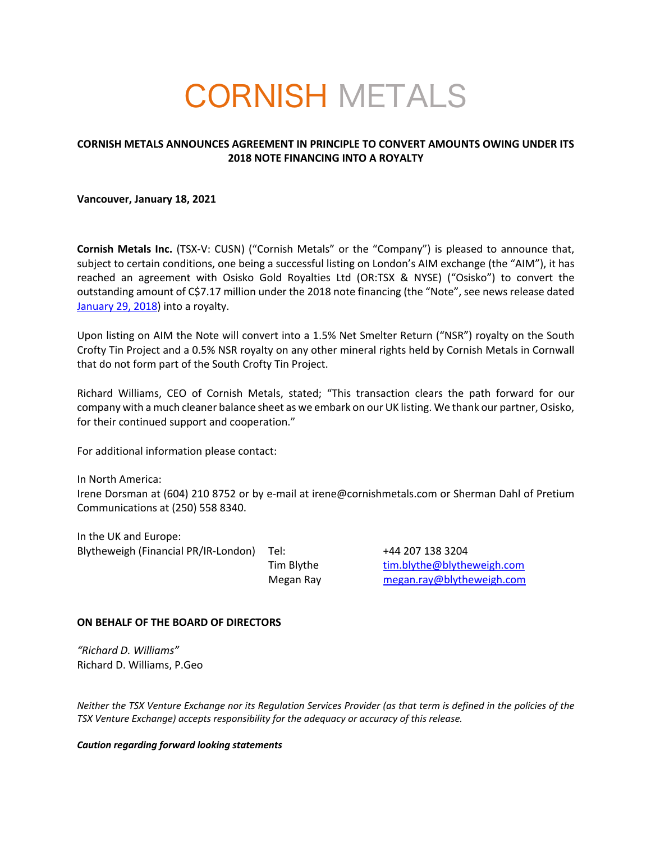## CORNISH METALS

## **CORNISH METALS ANNOUNCES AGREEMENT IN PRINCIPLE TO CONVERT AMOUNTS OWING UNDER ITS 2018 NOTE FINANCING INTO A ROYALTY**

**Vancouver, January 18, 2021** 

**Cornish Metals Inc.** (TSX-V: CUSN) ("Cornish Metals" or the "Company") is pleased to announce that, subject to certain conditions, one being a successful listing on London's AIM exchange (the "AIM"), it has reached an agreement with Osisko Gold Royalties Ltd (OR:TSX & NYSE) ("Osisko") to convert the outstanding amount of C\$7.17 million under the 2018 note financing (the "Note", see news release dated January 29, 2018) into a royalty.

Upon listing on AIM the Note will convert into a 1.5% Net Smelter Return ("NSR") royalty on the South Crofty Tin Project and a 0.5% NSR royalty on any other mineral rights held by Cornish Metals in Cornwall that do not form part of the South Crofty Tin Project.

Richard Williams, CEO of Cornish Metals, stated; "This transaction clears the path forward for our company with a much cleaner balance sheet as we embark on our UK listing. We thank our partner, Osisko, for their continued support and cooperation."

For additional information please contact:

In North America: Irene Dorsman at (604) 210 8752 or by e-mail at irene@cornishmetals.com or Sherman Dahl of Pretium Communications at (250) 558 8340.

In the UK and Europe: Blytheweigh (Financial PR/IR-London) Tel: +44 207 138 3204

Tim Blythe tim.blythe@blytheweigh.com Megan Ray megan.ray@blytheweigh.com

## **ON BEHALF OF THE BOARD OF DIRECTORS**

*"Richard D. Williams"* Richard D. Williams, P.Geo

*Neither the TSX Venture Exchange nor its Regulation Services Provider (as that term is defined in the policies of the TSX Venture Exchange) accepts responsibility for the adequacy or accuracy of this release.*

## *Caution regarding forward looking statements*